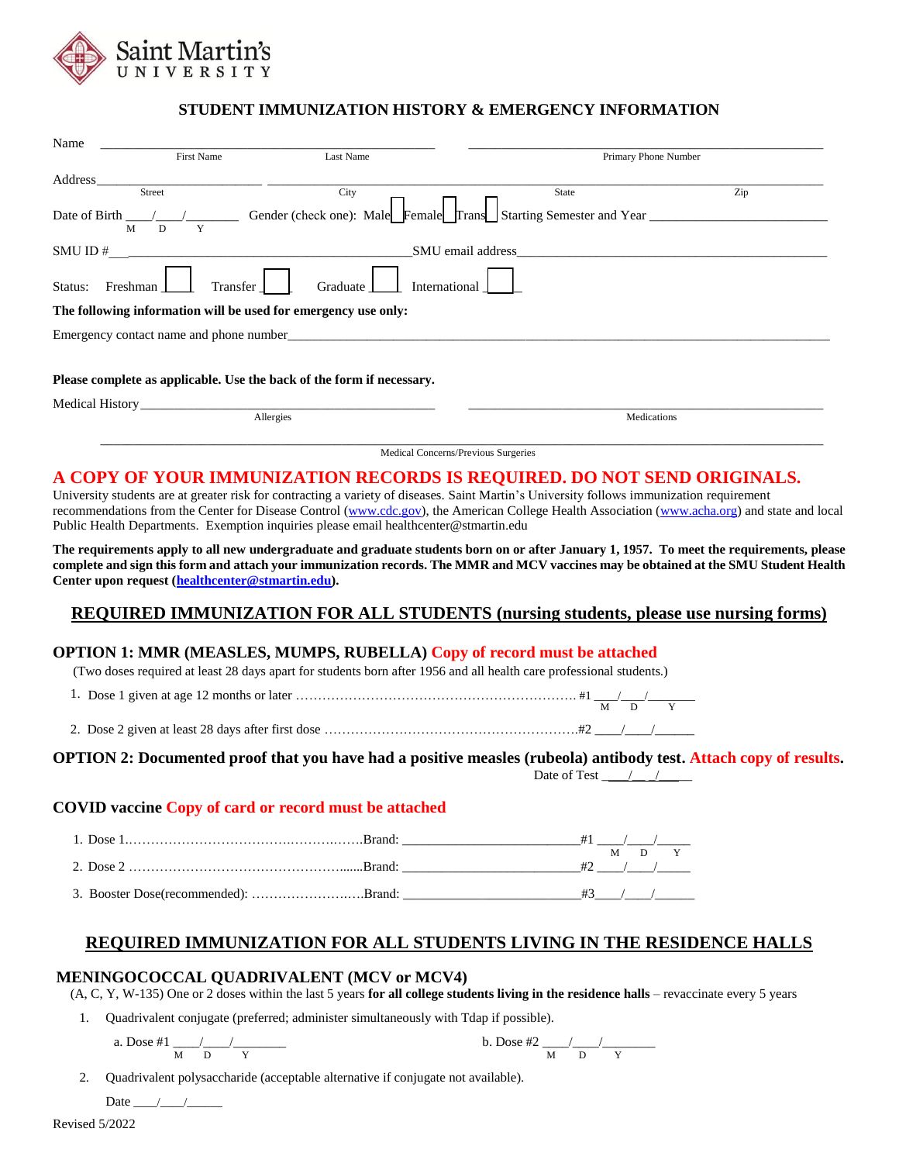

### **STUDENT IMMUNIZATION HISTORY & EMERGENCY INFORMATION**

| Name                |                   |                                                                                                                                                                                                                                |                                                                                     |             |  |  |
|---------------------|-------------------|--------------------------------------------------------------------------------------------------------------------------------------------------------------------------------------------------------------------------------|-------------------------------------------------------------------------------------|-------------|--|--|
|                     | First Name        | Last Name                                                                                                                                                                                                                      | Primary Phone Number                                                                |             |  |  |
| Address             |                   |                                                                                                                                                                                                                                |                                                                                     |             |  |  |
| Street              |                   | City                                                                                                                                                                                                                           | State                                                                               | Zip         |  |  |
| Date of Birth<br>M  | D<br>Y            |                                                                                                                                                                                                                                | Gender (check one): Male<br>Female<br>Frans Starting Semester and Year <sub>1</sub> |             |  |  |
| SMU ID#             | SMU email address |                                                                                                                                                                                                                                |                                                                                     |             |  |  |
| Status:<br>Freshman | Transfer          | Graduate                                                                                                                                                                                                                       | International                                                                       |             |  |  |
|                     |                   | The following information will be used for emergency use only:                                                                                                                                                                 |                                                                                     |             |  |  |
|                     |                   | Emergency contact name and phone number that the contract of the contract of the contract of the contract of the contract of the contract of the contract of the contract of the contract of the contract of the contract of t |                                                                                     |             |  |  |
|                     |                   |                                                                                                                                                                                                                                |                                                                                     |             |  |  |
|                     |                   | Please complete as applicable. Use the back of the form if necessary.                                                                                                                                                          |                                                                                     |             |  |  |
| Medical History     |                   |                                                                                                                                                                                                                                |                                                                                     |             |  |  |
| Allergies           |                   |                                                                                                                                                                                                                                |                                                                                     | Medications |  |  |
|                     |                   |                                                                                                                                                                                                                                |                                                                                     |             |  |  |

Medical Concerns/Previous Surgeries

# **A COPY OF YOUR IMMUNIZATION RECORDS IS REQUIRED. DO NOT SEND ORIGINALS.**

University students are at greater risk for contracting a variety of diseases. Saint Martin's University follows immunization requirement recommendations from the Center for Disease Control [\(www.cdc.gov\)](http://www.cdc.gov/), the American College Health Association [\(www.acha.org\)](http://www.acha.org/) and state and local Public Health Departments. Exemption inquiries please email healthcenter@stmartin.edu

**The requirements apply to all new undergraduate and graduate students born on or after January 1, 1957. To meet the requirements, please complete and sign this form and attach your immunization records. The MMR and MCV vaccines may be obtained at the SMU Student Health Center upon request [\(healthcenter@stmartin.edu\)](mailto:healthcenter@stmartin.edu).**

# **REQUIRED IMMUNIZATION FOR ALL STUDENTS (nursing students, please use nursing forms)**

### **OPTION 1: MMR (MEASLES, MUMPS, RUBELLA) Copy of record must be attached**

(Two doses required at least 28 days apart for students born after 1956 and all health care professional students.)

- 1. Dose 1 given at age 12 months or later ………………………………………………………. #1 \_\_\_\_/\_\_\_\_/\_\_\_\_\_\_\_\_ M D Y
- 2. Dose 2 given at least 28 days after first dose ………………………………………………………………#2

### **OPTION 2: Documented proof that you have had a positive measles (rubeola) antibody test. Attach copy of results.**

Date of Test  $\frac{1}{2}$ 

### **COVID vaccine Copy of card or record must be attached**

| 3. Booster Dose(recommended): Brand: |  |  |  |
|--------------------------------------|--|--|--|

# **REQUIRED IMMUNIZATION FOR ALL STUDENTS LIVING IN THE RESIDENCE HALLS**

### **MENINGOCOCCAL QUADRIVALENT (MCV or MCV4)**

(A, C, Y, W-135) One or 2 doses within the last 5 years **for all college students living in the residence halls** – revaccinate every 5 years

- 1. Quadrivalent conjugate (preferred; administer simultaneously with Tdap if possible).
	-

a. Does #1 
$$
\frac{1}{M} \frac{1}{D} \frac{1}{Y}
$$
 b. Does #2  $\frac{1}{M} \frac{1}{D} \frac{1}{Y}$ 

2. Quadrivalent polysaccharide (acceptable alternative if conjugate not available).

Date  $\qquad /$